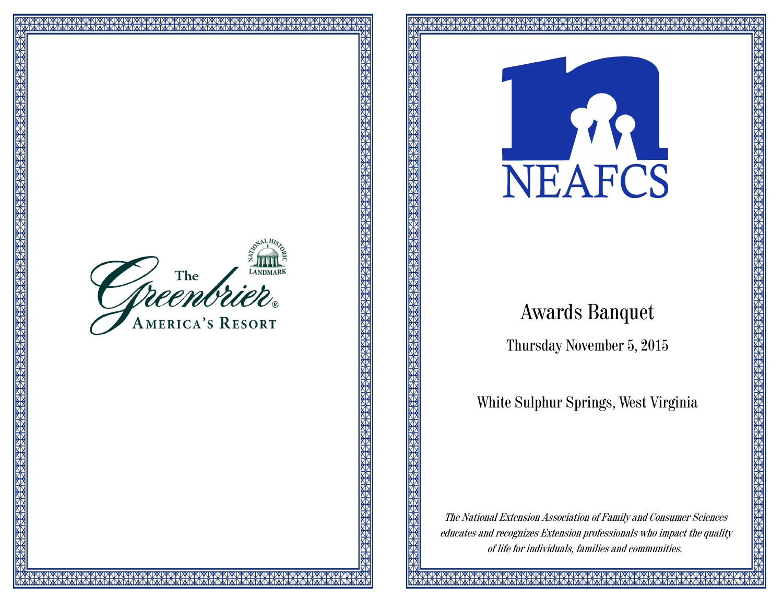



# Awards Banquet

Thursday November 5, 2015

White Sulphur Springs, West Virginia

The National Extension Association of Family and Consumer Sciences educates and recognizes Extension professionals who impact the quality of life for individuals, families and communities.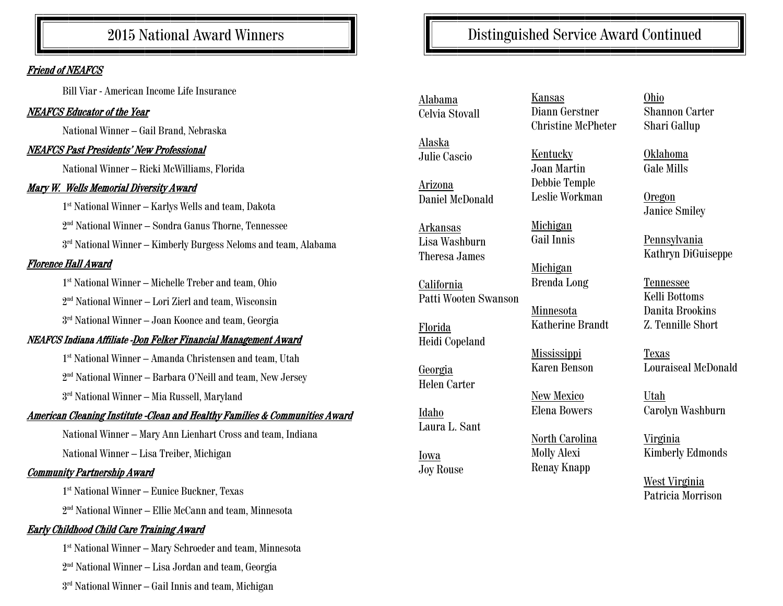# 2015 National Award Winners

#### Friend of NEAFCS

Bill Viar - American Income Life Insurance

#### NEAFCS Educator of the Year

National Winner – Gail Brand, Nebraska

#### NEAFCS Past Presidents' New Professional

National Winner – Ricki McWilliams, Florida

# Mary W. Wells Memorial Diversity Award

1 st National Winner – Karlys Wells and team, Dakota

2 nd National Winner – Sondra Ganus Thorne, Tennessee

 $3<sup>rd</sup>$  National Winner – Kimberly Burgess Neloms and team, Alabama

# Florence Hall Award

1 st National Winner – Michelle Treber and team, Ohio

2 nd National Winner – Lori Zierl and team, Wisconsin

3 rd National Winner – Joan Koonce and team, Georgia

# NEAFCS Indiana Affiliate -Don Felker Financial Management Award

1 st National Winner – Amanda Christensen and team, Utah

2 nd National Winner – Barbara O'Neill and team, New Jersey

3 rd National Winner – Mia Russell, Maryland

#### American Cleaning Institute -Clean and Healthy Families & Communities Award

National Winner – Mary Ann Lienhart Cross and team, Indiana National Winner – Lisa Treiber, Michigan

#### Community Partnership Award

1 st National Winner – Eunice Buckner, Texas

2 nd National Winner – Ellie McCann and team, Minnesota

# Early Childhood Child Care Training Award

1 st National Winner – Mary Schroeder and team, Minnesota 2 nd National Winner – Lisa Jordan and team, Georgia

3 rd National Winner – Gail Innis and team, Michigan

Alabama Celvia Stovall

Alaska Julie Cascio

Arizona Daniel McDonald

Arkansas Lisa Washburn Theresa James

California Patti Wooten Swanson

Florida Heidi Copeland

Georgia Helen Carter

Idaho Laura L. Sant

Iowa Joy Rouse

Kansas Diann Gerstner Christine McPheter

Distinguished Service Award Continued

Kentucky Joan Martin Debbie Temple Leslie Workman

Michigan Gail Innis

Michigan Brenda Long

Minnesota Katherine Brandt

Mississippi Karen Benson

New Mexico Elena Bowers

North Carolina Molly Alexi Renay Knapp

Ohio Shannon Carter Shari Gallup

Oklahoma Gale Mills

Oregon Janice Smiley

Pennsylvania Kathryn DiGuiseppe

Tennessee Kelli Bottoms Danita Brookins Z. Tennille Short

Texas Louraiseal McDonald

Utah Carolyn Washburn

Virginia Kimberly Edmonds

West Virginia Patricia Morrison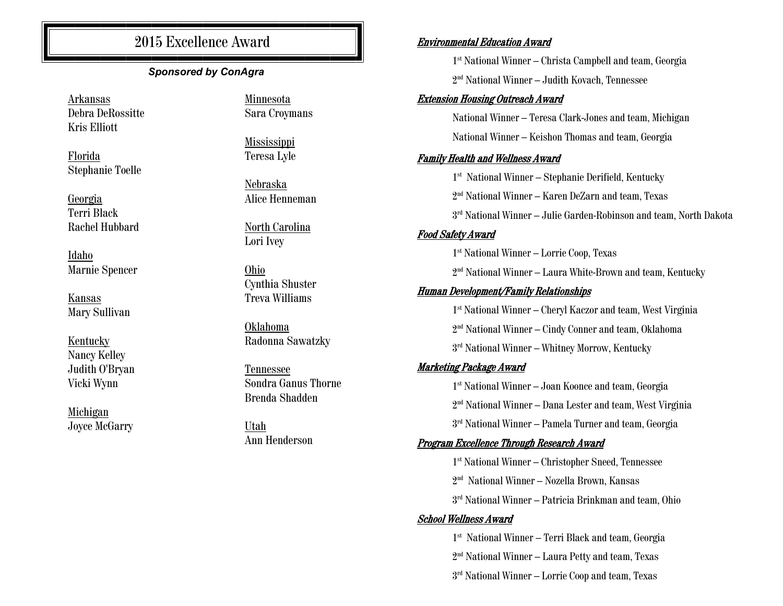# 2015 Excellence Award

# *Sponsored by ConAgra*

Arkansas Debra DeRossitte Kris Elliott

Florida Stephanie Toelle

Georgia Terri Black Rachel Hubbard

Idaho Marnie Spencer

Kansas Mary Sullivan

Kentucky Nancy Kelley Judith O'Bryan Vicki Wynn

Michigan Joyce McGarry Minnesota Sara Croymans

Mississippi Teresa Lyle

Nebraska Alice Henneman

North Carolina Lori Ivey

Ohio Cynthia Shuster Treva Williams

Oklahoma Radonna Sawatzky

Tennessee Sondra Ganus Thorne Brenda Shadden

Utah Ann Henderson

#### Environmental Education Award

1 st National Winner – Christa Campbell and team, Georgia 2 nd National Winner – Judith Kovach, Tennessee

#### Extension Housing Outreach Award

National Winner – Teresa Clark-Jones and team, Michigan National Winner – Keishon Thomas and team, Georgia

#### Family Health and Wellness Award

 st National Winner – Stephanie Derifield, Kentucky nd National Winner – Karen DeZarn and team, Texas rd National Winner – Julie Garden-Robinson and team, North Dakota Food Safety Award st National Winner – Lorrie Coop, Texas nd National Winner – Laura White-Brown and team, Kentucky Human Development/Family Relationships st National Winner – Cheryl Kaczor and team, West Virginia nd National Winner – Cindy Conner and team, Oklahoma rd National Winner – Whitney Morrow, Kentucky Marketing Package Award st National Winner – Joan Koonce and team, Georgia nd National Winner – Dana Lester and team, West Virginia

3 rd National Winner – Pamela Turner and team, Georgia

#### Program Excellence Through Research Award

1 st National Winner – Christopher Sneed, Tennessee

2 nd National Winner – Nozella Brown, Kansas

3 rd National Winner – Patricia Brinkman and team, Ohio

#### School Wellness Award

1 st National Winner – Terri Black and team, Georgia

2 nd National Winner – Laura Petty and team, Texas

3 rd National Winner – Lorrie Coop and team, Texas